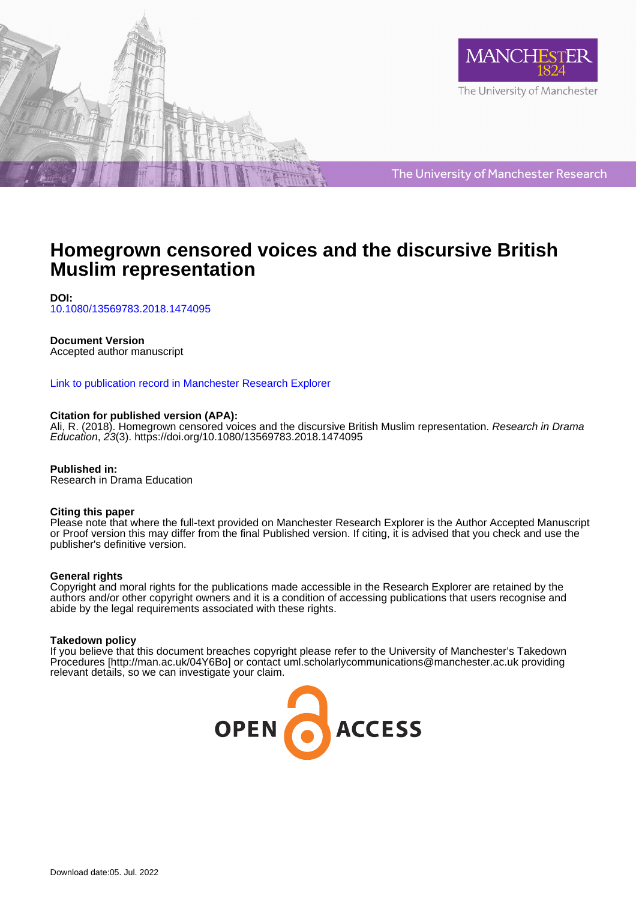



The University of Manchester Research

# **Homegrown censored voices and the discursive British Muslim representation**

**DOI:** [10.1080/13569783.2018.1474095](https://doi.org/10.1080/13569783.2018.1474095)

## **Document Version**

Accepted author manuscript

#### [Link to publication record in Manchester Research Explorer](https://www.research.manchester.ac.uk/portal/en/publications/homegrown-censored-voices-and-the-discursive-british-muslim-representation(61069856-8844-49b8-b933-41059340f67b).html)

## **Citation for published version (APA):**

[Ali, R.](/portal/roaa.ali.html) (2018). [Homegrown censored voices and the discursive British Muslim representation.](https://www.research.manchester.ac.uk/portal/en/publications/homegrown-censored-voices-and-the-discursive-british-muslim-representation(61069856-8844-49b8-b933-41059340f67b).html) Research in Drama Education, 23(3). <https://doi.org/10.1080/13569783.2018.1474095>

**Published in:** Research in Drama Education

#### **Citing this paper**

Please note that where the full-text provided on Manchester Research Explorer is the Author Accepted Manuscript or Proof version this may differ from the final Published version. If citing, it is advised that you check and use the publisher's definitive version.

#### **General rights**

Copyright and moral rights for the publications made accessible in the Research Explorer are retained by the authors and/or other copyright owners and it is a condition of accessing publications that users recognise and abide by the legal requirements associated with these rights.

#### **Takedown policy**

If you believe that this document breaches copyright please refer to the University of Manchester's Takedown Procedures [http://man.ac.uk/04Y6Bo] or contact uml.scholarlycommunications@manchester.ac.uk providing relevant details, so we can investigate your claim.

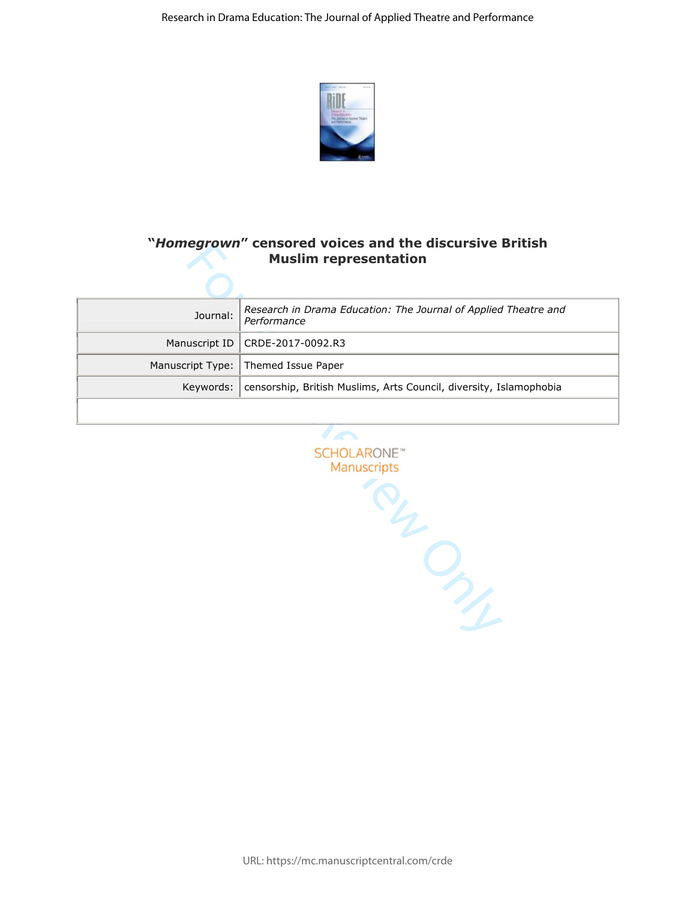

# **"***Homegrown***" censored voices and the discursive British Muslim representation**

| Journal: | Research in Drama Education: The Journal of Applied Theatre and<br>Performance |  |
|----------|--------------------------------------------------------------------------------|--|
|          | Manuscript ID   CRDE-2017-0092.R3                                              |  |
|          | Manuscript Type:   Themed Issue Paper                                          |  |
|          | Keywords:   censorship, British Muslims, Arts Council, diversity, Islamophobia |  |
|          |                                                                                |  |

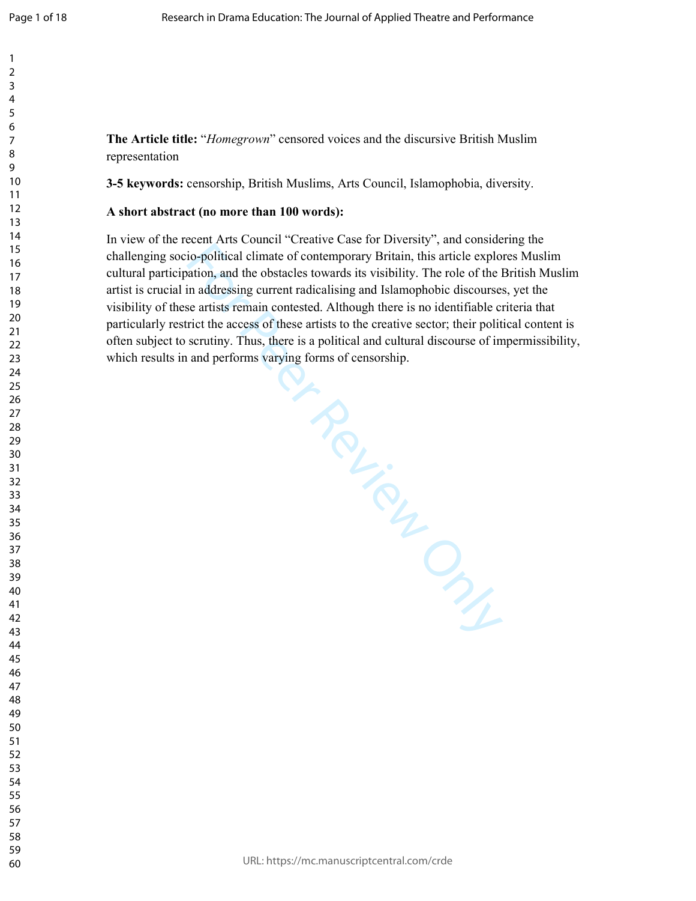**The Article title:**  "*Homegrown*" censored voices and the discursive British Muslim representation

**3-5 keywords:** censorship, British Muslims, Arts Council, Islamophobia, diversity.

# **A short abstract (no more than 100 words):**

From Per Review Only Compared In view of the recent Arts Council "Creative Case for Diversity", and considering the challenging socio-political climate of contemporary Britain, this article explores Muslim cultural participation, and the obstacles towards its visibility. The role of the British Muslim artist is crucial in addressing current radicalising and Islamophobic discourses, yet the visibility of these artists remain contested. Although there is no identifiable criteria that particularly restrict the access of these artists to the creative sector; their political content is often subject to scrutiny. Thus, there is a political and cultural discourse of impermissibility, which results in and performs varying forms of censorship.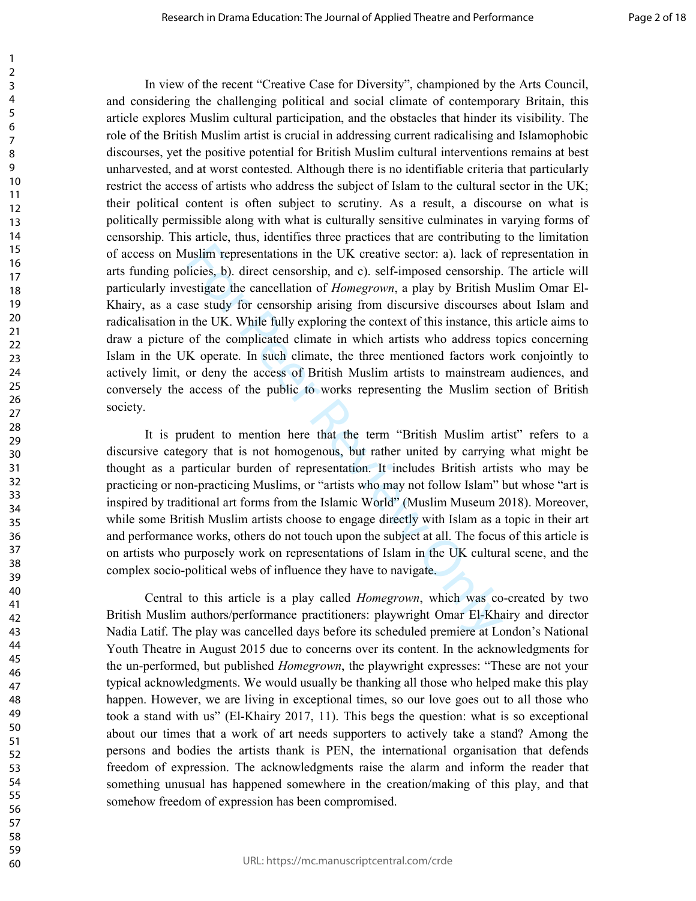uslim representations in the UK creative sector: a). lack of i<br>licies, b). direct censorship, and c). self-imposed censorship.<br>estigate the cancellation of *Homegrown*, a play by British M<br>se study for censorship arising f In view of the recent "Creative Case for Diversity", championed by the Arts Council, and considering the challenging political and social climate of contemporary Britain, this article explores Muslim cultural participation, and the obstacles that hinder its visibility. The role of the British Muslim artist is crucial in addressing current radicalising and Islamophobic discourses, yet the positive potential for British Muslim cultural interventions remains at best unharvested, and at worst contested. Although there is no identifiable criteria that particularly restrict the access of artists who address the subject of Islam to the cultural sector in the UK; their political content is often subject to scrutiny. As a result, a discourse on what is politically permissible along with what is culturally sensitive culminates in varying forms of censorship. This article, thus, identifies three practices that are contributing to the limitation of access on Muslim representations in the UK creative sector: a). lack of representation in arts funding policies, b). direct censorship, and c). self-imposed censorship. The article will particularly investigate the cancellation of *Homegrown*, a play by British Muslim Omar El-Khairy, as a case study for censorship arising from discursive discourses about Islam and radicalisation in the UK. While fully exploring the context of this instance, this article aims to draw a picture of the complicated climate in which artists who address topics concerning Islam in the UK operate. In such climate, the three mentioned factors work conjointly to actively limit, or deny the access of British Muslim artists to mainstream audiences, and conversely the access of the public to works representing the Muslim section of British society.

It is prudent to mention here that the term "British Muslim artist" refers to a discursive category that is not homogenous, but rather united by carrying what might be thought as a particular burden of representation. It includes British artists who may be practicing or non-practicing Muslims, or "artists who may not follow Islam" but whose "art is inspired by traditional art forms from the Islamic World" (Muslim Museum 2018). Moreover, while some British Muslim artists choose to engage directly with Islam as a topic in their art and performance works, others do not touch upon the subject at all. The focus of this article is on artists who purposely work on representations of Islam in the UK cultural scene, and the complex socio-political webs of influence they have to navigate.

Central to this article is a play called *Homegrown*, which was co-created by two British Muslim authors/performance practitioners: playwright Omar El-Khairy and director Nadia Latif. The play was cancelled days before its scheduled premiere at London's National Youth Theatre in August 2015 due to concerns over its content. In the acknowledgments for the un-performed, but published *Homegrown*, the playwright expresses: "These are not your typical acknowledgments. We would usually be thanking all those who helped make this play happen. However, we are living in exceptional times, so our love goes out to all those who took a stand with us" (El-Khairy 2017, 11). This begs the question: what is so exceptional about our times that a work of art needs supporters to actively take a stand? Among the persons and bodies the artists thank is PEN, the international organisation that defends freedom of expression. The acknowledgments raise the alarm and inform the reader that something unusual has happened somewhere in the creation/making of this play, and that somehow freedom of expression has been compromised.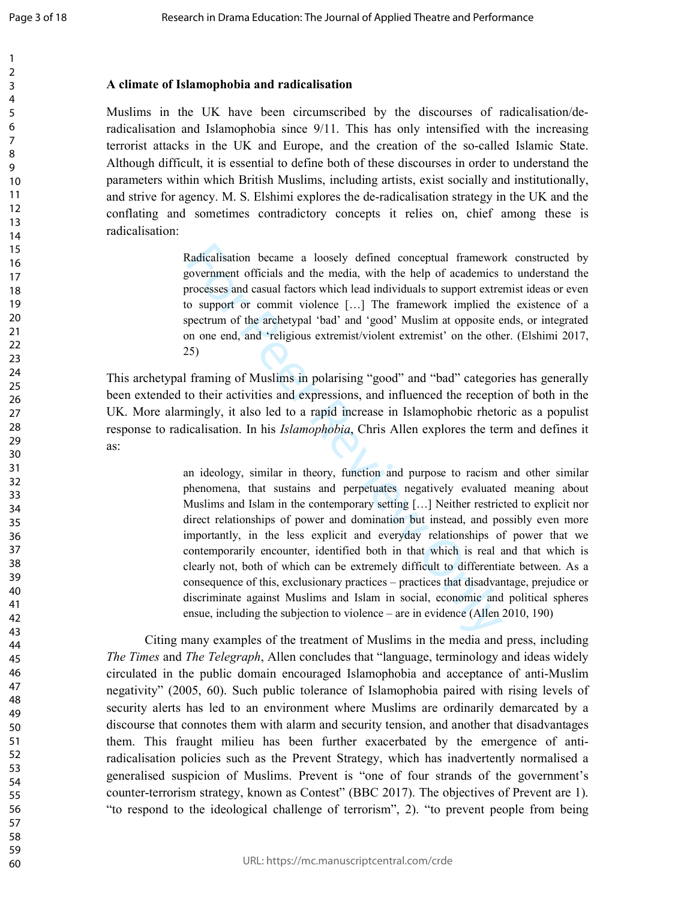## **A climate of Islamophobia and radicalisation**

Muslims in the UK have been circumscribed by the discourses of radicalisation/deradicalisation and Islamophobia since 9/11. This has only intensified with the increasing terrorist attacks in the UK and Europe, and the creation of the so-called Islamic State. Although difficult, it is essential to define both of these discourses in order to understand the parameters within which British Muslims, including artists, exist socially and institutionally, and strive for agency. M. S. Elshimi explores the de-radicalisation strategy in the UK and the conflating and sometimes contradictory concepts it relies on, chief among these is radicalisation:

> Radicalisation became a loosely defined conceptual framework constructed by government officials and the media, with the help of academics to understand the processes and casual factors which lead individuals to support extremist ideas or even to support or commit violence […] The framework implied the existence of a spectrum of the archetypal 'bad' and 'good' Muslim at opposite ends, or integrated on one end, and 'religious extremist/violent extremist' on the other. (Elshimi 2017, 25)

This archetypal framing of Muslims in polarising "good" and "bad" categories has generally been extended to their activities and expressions, and influenced the reception of both in the UK. More alarmingly, it also led to a rapid increase in Islamophobic rhetoric as a populist response to radicalisation. In his *Islamophobia*, Chris Allen explores the term and defines it as:

Radicalisation became a loosely defined conceptual frameworl<br>government officials and the media, with the help of academics<br>processes and casual factors which lead individuals to support extre<br>o support or commit violence an ideology, similar in theory, function and purpose to racism and other similar phenomena, that sustains and perpetuates negatively evaluated meaning about Muslims and Islam in the contemporary setting […] Neither restricted to explicit nor direct relationships of power and domination but instead, and possibly even more importantly, in the less explicit and everyday relationships of power that we contemporarily encounter, identified both in that which is real and that which is clearly not, both of which can be extremely difficult to differentiate between. As a consequence of this, exclusionary practices – practices that disadvantage, prejudice or discriminate against Muslims and Islam in social, economic and political spheres ensue, including the subjection to violence – are in evidence (Allen 2010, 190)

Citing many examples of the treatment of Muslims in the media and press, including *The Times* and *The Telegraph*, Allen concludes that "language, terminology and ideas widely circulated in the public domain encouraged Islamophobia and acceptance of anti-Muslim negativity" (2005, 60). Such public tolerance of Islamophobia paired with rising levels of security alerts has led to an environment where Muslims are ordinarily demarcated by a discourse that connotes them with alarm and security tension, and another that disadvantages them. This fraught milieu has been further exacerbated by the emergence of antiradicalisation policies such as the Prevent Strategy, which has inadvertently normalised a generalised suspicion of Muslims. Prevent is "one of four strands of the government's counter-terrorism strategy, known as Contest" (BBC 2017). The objectives of Prevent are 1). "to respond to the ideological challenge of terrorism", 2). "to prevent people from being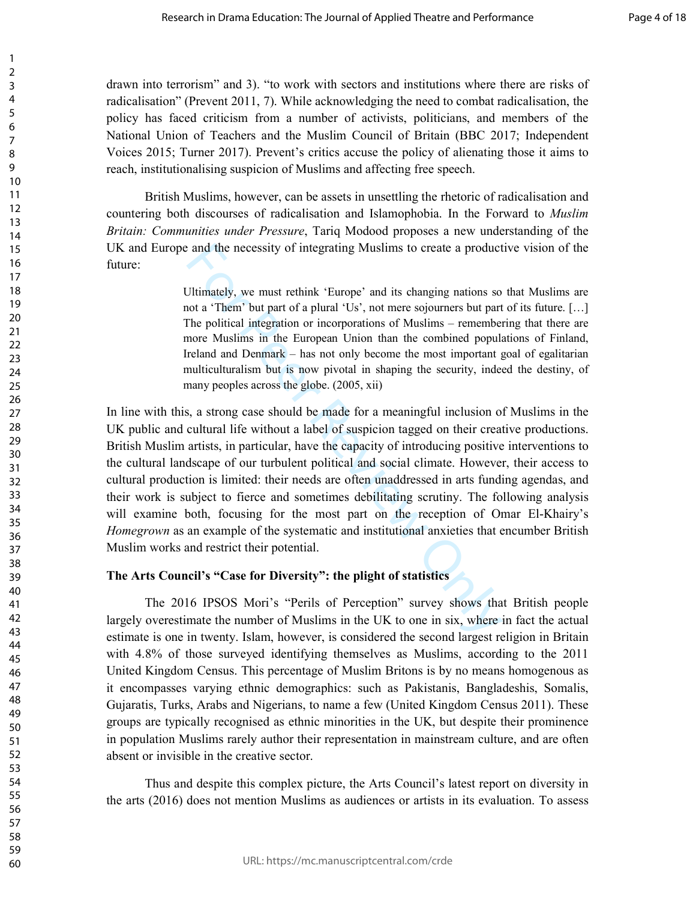drawn into terrorism" and 3). "to work with sectors and institutions where there are risks of radicalisation" (Prevent 2011, 7). While acknowledging the need to combat radicalisation, the policy has faced criticism from a number of activists, politicians, and members of the National Union of Teachers and the Muslim Council of Britain (BBC 2017; Independent Voices 2015; Turner 2017). Prevent's critics accuse the policy of alienating those it aims to reach, institutionalising suspicion of Muslims and affecting free speech.

British Muslims, however, can be assets in unsettling the rhetoric of radicalisation and countering both discourses of radicalisation and Islamophobia. In the Forward to *Muslim Britain: Communities under Pressure*, Tariq Modood proposes a new understanding of the UK and Europe and the necessity of integrating Muslims to create a productive vision of the future:

> Ultimately, we must rethink 'Europe' and its changing nations so that Muslims are not a 'Them' but part of a plural 'Us', not mere sojourners but part of its future. […] The political integration or incorporations of Muslims – remembering that there are more Muslims in the European Union than the combined populations of Finland, Ireland and Denmark – has not only become the most important goal of egalitarian multiculturalism but is now pivotal in shaping the security, indeed the destiny, of many peoples across the globe. (2005, xii)

and the necessity of integrating Muslims to create a product<br>
Jltimately, we must rethink 'Europe' and its changing nations so<br>
ort a 'Them' but part of a plural 'Us', not mere sojourners but part<br>
the political integratio In line with this, a strong case should be made for a meaningful inclusion of Muslims in the UK public and cultural life without a label of suspicion tagged on their creative productions. British Muslim artists, in particular, have the capacity of introducing positive interventions to the cultural landscape of our turbulent political and social climate. However, their access to cultural production is limited: their needs are often unaddressed in arts funding agendas, and their work is subject to fierce and sometimes debilitating scrutiny. The following analysis will examine both, focusing for the most part on the reception of Omar El-Khairy's *Homegrown* as an example of the systematic and institutional anxieties that encumber British Muslim works and restrict their potential.

## **The Arts Council's "Case for Diversity": the plight of statistics**

The 2016 IPSOS Mori's "Perils of Perception" survey shows that British people largely overestimate the number of Muslims in the UK to one in six, where in fact the actual estimate is one in twenty. Islam, however, is considered the second largest religion in Britain with 4.8% of those surveyed identifying themselves as Muslims, according to the 2011 United Kingdom Census. This percentage of Muslim Britons is by no means homogenous as it encompasses varying ethnic demographics: such as Pakistanis, Bangladeshis, Somalis, Gujaratis, Turks, Arabs and Nigerians, to name a few (United Kingdom Census 2011). These groups are typically recognised as ethnic minorities in the UK, but despite their prominence in population Muslims rarely author their representation in mainstream culture, and are often absent or invisible in the creative sector.

Thus and despite this complex picture, the Arts Council's latest report on diversity in the arts (2016) does not mention Muslims as audiences or artists in its evaluation. To assess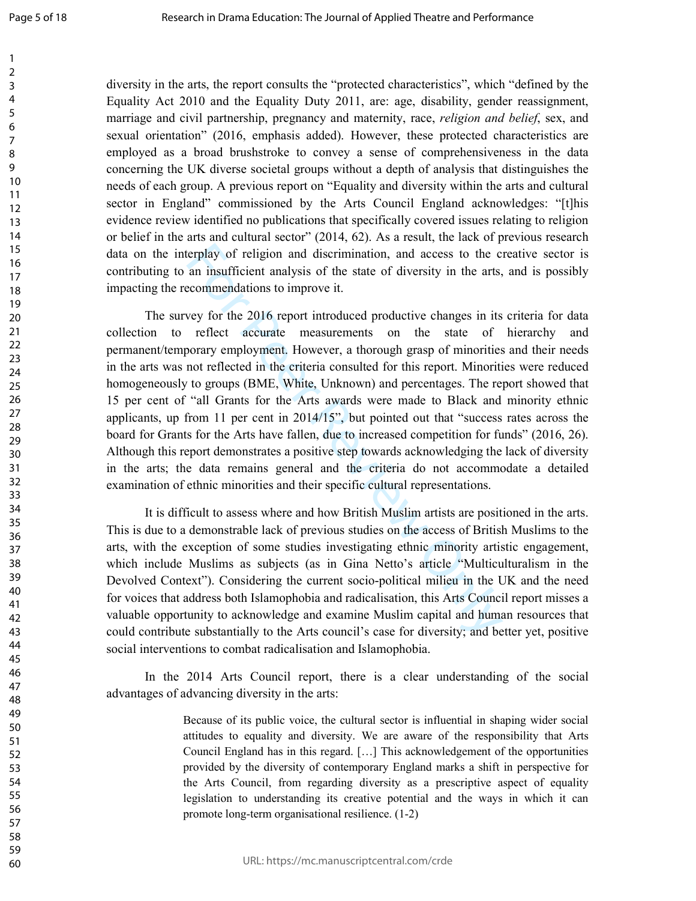diversity in the arts, the report consults the "protected characteristics", which "defined by the Equality Act 2010 and the Equality Duty 2011, are: age, disability, gender reassignment, marriage and civil partnership, pregnancy and maternity, race, *religion and belief*, sex, and sexual orientation" (2016, emphasis added). However, these protected characteristics are employed as a broad brushstroke to convey a sense of comprehensiveness in the data concerning the UK diverse societal groups without a depth of analysis that distinguishes the needs of each group. A previous report on "Equality and diversity within the arts and cultural sector in England" commissioned by the Arts Council England acknowledges: "[t]his evidence review identified no publications that specifically covered issues relating to religion or belief in the arts and cultural sector" (2014, 62). As a result, the lack of previous research data on the interplay of religion and discrimination, and access to the creative sector is contributing to an insufficient analysis of the state of diversity in the arts, and is possibly impacting the recommendations to improve it.

erplay of religion and discrimination, and access to the c<br>an insufficient analysis of the state of diversity in the arts,<br>ecommendations to improve it.<br>wey for the 2016 report introduced productive changes in its<br>reflect The survey for the 2016 report introduced productive changes in its criteria for data collection to reflect accurate measurements on the state of hierarchy and permanent/temporary employment. However, a thorough grasp of minorities and their needs in the arts was not reflected in the criteria consulted for this report. Minorities were reduced homogeneously to groups (BME, White, Unknown) and percentages. The report showed that 15 per cent of "all Grants for the Arts awards were made to Black and minority ethnic applicants, up from 11 per cent in 2014/15", but pointed out that "success rates across the board for Grants for the Arts have fallen, due to increased competition for funds" (2016, 26). Although this report demonstrates a positive step towards acknowledging the lack of diversity in the arts; the data remains general and the criteria do not accommodate a detailed examination of ethnic minorities and their specific cultural representations.

It is difficult to assess where and how British Muslim artists are positioned in the arts. This is due to a demonstrable lack of previous studies on the access of British Muslims to the arts, with the exception of some studies investigating ethnic minority artistic engagement, which include Muslims as subjects (as in Gina Netto's article "Multiculturalism in the Devolved Context"). Considering the current socio-political milieu in the UK and the need for voices that address both Islamophobia and radicalisation, this Arts Council report misses a valuable opportunity to acknowledge and examine Muslim capital and human resources that could contribute substantially to the Arts council's case for diversity; and better yet, positive social interventions to combat radicalisation and Islamophobia.

In the 2014 Arts Council report, there is a clear understanding of the social advantages of advancing diversity in the arts:

> Because of its public voice, the cultural sector is influential in shaping wider social attitudes to equality and diversity. We are aware of the responsibility that Arts Council England has in this regard. […] This acknowledgement of the opportunities provided by the diversity of contemporary England marks a shift in perspective for the Arts Council, from regarding diversity as a prescriptive aspect of equality legislation to understanding its creative potential and the ways in which it can promote long-term organisational resilience. (1-2)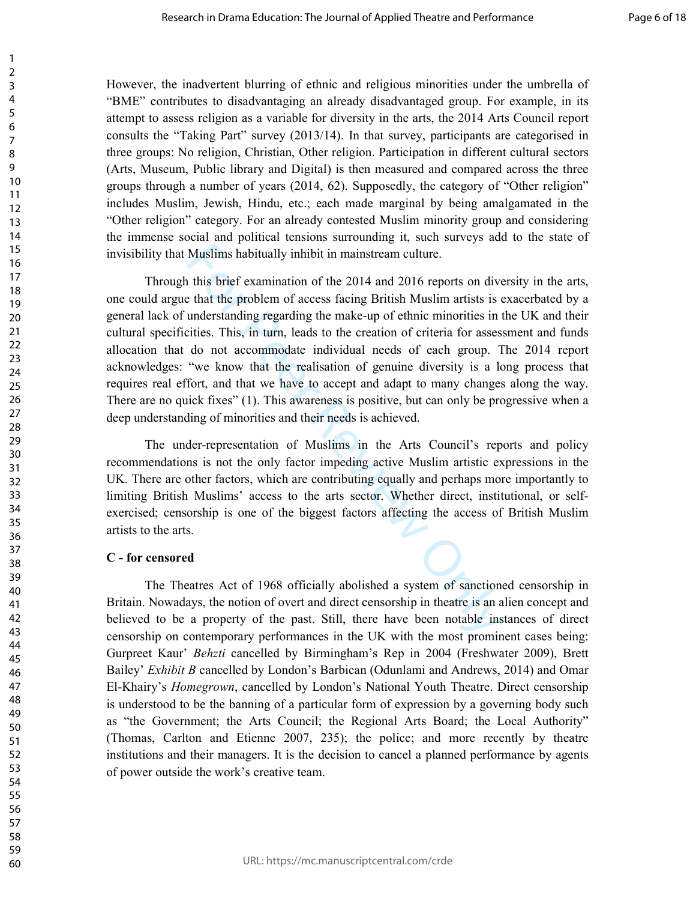However, the inadvertent blurring of ethnic and religious minorities under the umbrella of "BME" contributes to disadvantaging an already disadvantaged group. For example, in its attempt to assess religion as a variable for diversity in the arts, the 2014 Arts Council report consults the "Taking Part" survey (2013/14). In that survey, participants are categorised in three groups: No religion, Christian, Other religion. Participation in different cultural sectors (Arts, Museum, Public library and Digital) is then measured and compared across the three groups through a number of years (2014, 62). Supposedly, the category of "Other religion" includes Muslim, Jewish, Hindu, etc.; each made marginal by being amalgamated in the "Other religion" category. For an already contested Muslim minority group and considering the immense social and political tensions surrounding it, such surveys add to the state of invisibility that Muslims habitually inhibit in mainstream culture.

Muslims habitually inhibit in mainstream culture.<br>
this brief examination of the 2014 and 2016 reports on dive<br>
that the problem of access facing British Muslim artists is understanding regarding the make-up of ethnic mino Through this brief examination of the 2014 and 2016 reports on diversity in the arts, one could argue that the problem of access facing British Muslim artists is exacerbated by a general lack of understanding regarding the make-up of ethnic minorities in the UK and their cultural specificities. This, in turn, leads to the creation of criteria for assessment and funds allocation that do not accommodate individual needs of each group. The 2014 report acknowledges: "we know that the realisation of genuine diversity is a long process that requires real effort, and that we have to accept and adapt to many changes along the way. There are no quick fixes" (1). This awareness is positive, but can only be progressive when a deep understanding of minorities and their needs is achieved.

The under-representation of Muslims in the Arts Council's reports and policy recommendations is not the only factor impeding active Muslim artistic expressions in the UK. There are other factors, which are contributing equally and perhaps more importantly to limiting British Muslims' access to the arts sector. Whether direct, institutional, or selfexercised; censorship is one of the biggest factors affecting the access of British Muslim artists to the arts.

#### **C - for censored**

The Theatres Act of 1968 officially abolished a system of sanctioned censorship in Britain. Nowadays, the notion of overt and direct censorship in theatre is an alien concept and believed to be a property of the past. Still, there have been notable instances of direct censorship on contemporary performances in the UK with the most prominent cases being: Gurpreet Kaur' *Behzti* cancelled by Birmingham's Rep in 2004 (Freshwater 2009), Brett Bailey' *Exhibit B* cancelled by London's Barbican (Odunlami and Andrews, 2014) and Omar El-Khairy's *Homegrown*, cancelled by London's National Youth Theatre. Direct censorship is understood to be the banning of a particular form of expression by a governing body such as "the Government; the Arts Council; the Regional Arts Board; the Local Authority" (Thomas, Carlton and Etienne 2007, 235); the police; and more recently by theatre institutions and their managers. It is the decision to cancel a planned performance by agents of power outside the work's creative team.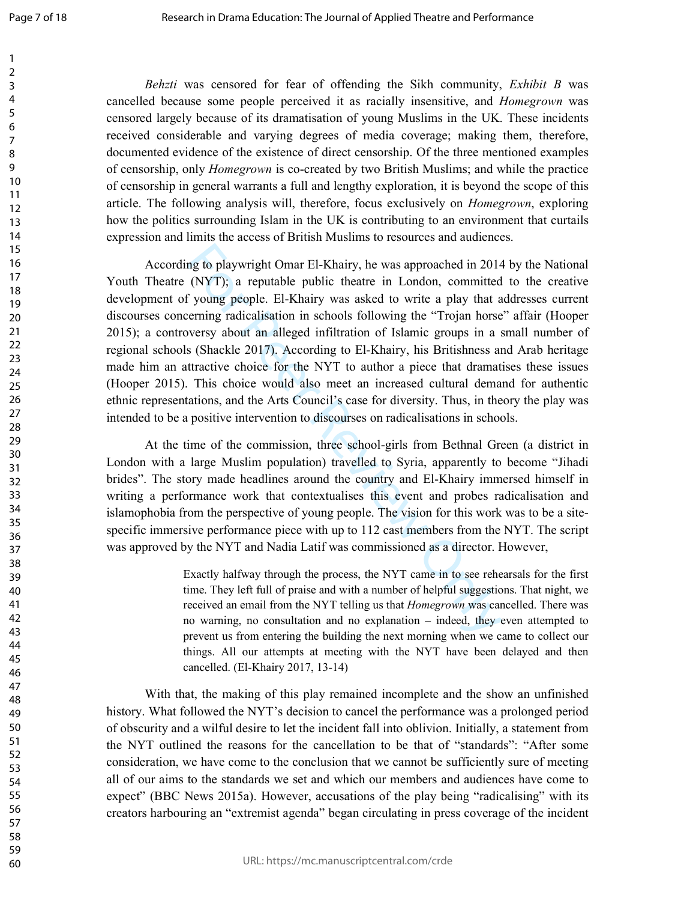*Behzti* was censored for fear of offending the Sikh community, *Exhibit B* was cancelled because some people perceived it as racially insensitive, and *Homegrown* was censored largely because of its dramatisation of young Muslims in the UK. These incidents received considerable and varying degrees of media coverage; making them, therefore, documented evidence of the existence of direct censorship. Of the three mentioned examples of censorship, only *Homegrown* is co-created by two British Muslims; and while the practice of censorship in general warrants a full and lengthy exploration, it is beyond the scope of this article. The following analysis will, therefore, focus exclusively on *Homegrown*, exploring how the politics surrounding Islam in the UK is contributing to an environment that curtails expression and limits the access of British Muslims to resources and audiences.

mg to playwright Omar El-Khairy, he was approached in 2014 (NYT); a reputable public theatre in London, committed f young people. El-Khairy was asked to write a play that a forming radicalisation in schools following the " According to playwright Omar El-Khairy, he was approached in 2014 by the National Youth Theatre (NYT); a reputable public theatre in London, committed to the creative development of young people. El-Khairy was asked to write a play that addresses current discourses concerning radicalisation in schools following the "Trojan horse" affair (Hooper 2015); a controversy about an alleged infiltration of Islamic groups in a small number of regional schools (Shackle 2017). According to El-Khairy, his Britishness and Arab heritage made him an attractive choice for the NYT to author a piece that dramatises these issues (Hooper 2015). This choice would also meet an increased cultural demand for authentic ethnic representations, and the Arts Council's case for diversity. Thus, in theory the play was intended to be a positive intervention to discourses on radicalisations in schools.

At the time of the commission, three school-girls from Bethnal Green (a district in London with a large Muslim population) travelled to Syria, apparently to become "Jihadi brides". The story made headlines around the country and El-Khairy immersed himself in writing a performance work that contextualises this event and probes radicalisation and islamophobia from the perspective of young people. The vision for this work was to be a sitespecific immersive performance piece with up to 112 cast members from the NYT. The script was approved by the NYT and Nadia Latif was commissioned as a director. However,

> Exactly halfway through the process, the NYT came in to see rehearsals for the first time. They left full of praise and with a number of helpful suggestions. That night, we received an email from the NYT telling us that *Homegrown* was cancelled. There was no warning, no consultation and no explanation – indeed, they even attempted to prevent us from entering the building the next morning when we came to collect our things. All our attempts at meeting with the NYT have been delayed and then cancelled. (El-Khairy 2017, 13-14)

With that, the making of this play remained incomplete and the show an unfinished history. What followed the NYT's decision to cancel the performance was a prolonged period of obscurity and a wilful desire to let the incident fall into oblivion. Initially, a statement from the NYT outlined the reasons for the cancellation to be that of "standards": "After some consideration, we have come to the conclusion that we cannot be sufficiently sure of meeting all of our aims to the standards we set and which our members and audiences have come to expect" (BBC News 2015a). However, accusations of the play being "radicalising" with its creators harbouring an "extremist agenda" began circulating in press coverage of the incident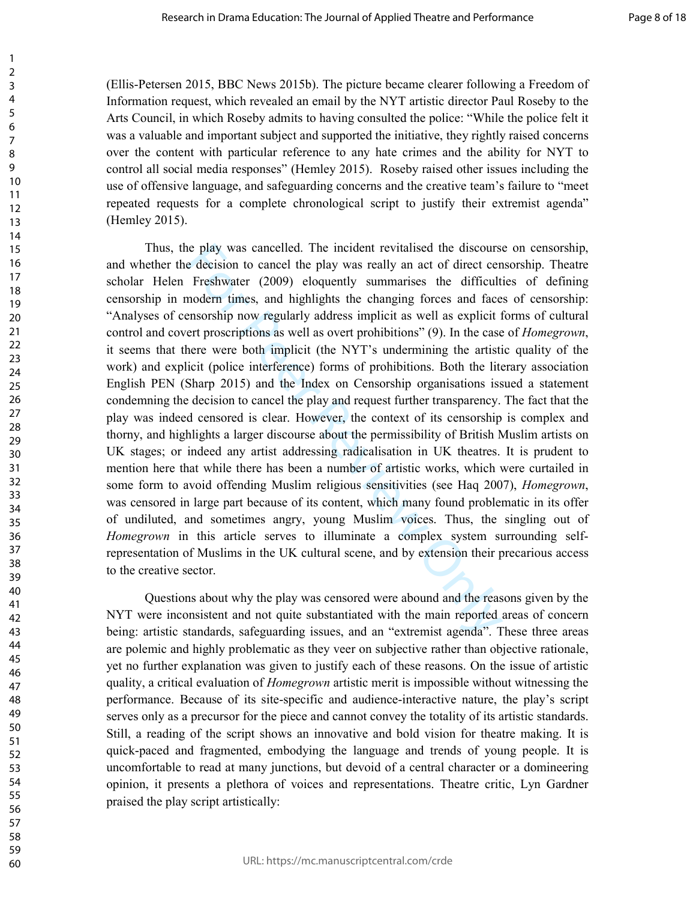(Ellis-Petersen 2015, BBC News 2015b). The picture became clearer following a Freedom of Information request, which revealed an email by the NYT artistic director Paul Roseby to the Arts Council, in which Roseby admits to having consulted the police: "While the police felt it was a valuable and important subject and supported the initiative, they rightly raised concerns over the content with particular reference to any hate crimes and the ability for NYT to control all social media responses" (Hemley 2015). Roseby raised other issues including the use of offensive language, and safeguarding concerns and the creative team's failure to "meet repeated requests for a complete chronological script to justify their extremist agenda" (Hemley 2015).

is e play was cancelled. The incident revitalised the discourse decision to cancel the play was really an act of direct cen Freshwater (2009) eloquently summarises the difficult perchandern times, and highlights the changi Thus, the play was cancelled. The incident revitalised the discourse on censorship, and whether the decision to cancel the play was really an act of direct censorship. Theatre scholar Helen Freshwater (2009) eloquently summarises the difficulties of defining censorship in modern times, and highlights the changing forces and faces of censorship: "Analyses of censorship now regularly address implicit as well as explicit forms of cultural control and covert proscriptions as well as overt prohibitions" (9). In the case of *Homegrown*, it seems that there were both implicit (the NYT's undermining the artistic quality of the work) and explicit (police interference) forms of prohibitions. Both the literary association English PEN (Sharp 2015) and the Index on Censorship organisations issued a statement condemning the decision to cancel the play and request further transparency. The fact that the play was indeed censored is clear. However, the context of its censorship is complex and thorny, and highlights a larger discourse about the permissibility of British Muslim artists on UK stages; or indeed any artist addressing radicalisation in UK theatres. It is prudent to mention here that while there has been a number of artistic works, which were curtailed in some form to avoid offending Muslim religious sensitivities (see Haq 2007), *Homegrown*, was censored in large part because of its content, which many found problematic in its offer of undiluted, and sometimes angry, young Muslim voices. Thus, the singling out of *Homegrown* in this article serves to illuminate a complex system surrounding selfrepresentation of Muslims in the UK cultural scene, and by extension their precarious access to the creative sector.

Questions about why the play was censored were abound and the reasons given by the NYT were inconsistent and not quite substantiated with the main reported areas of concern being: artistic standards, safeguarding issues, and an "extremist agenda". These three areas are polemic and highly problematic as they veer on subjective rather than objective rationale, yet no further explanation was given to justify each of these reasons. On the issue of artistic quality, a critical evaluation of *Homegrown* artistic merit is impossible without witnessing the performance. Because of its site-specific and audience-interactive nature, the play's script serves only as a precursor for the piece and cannot convey the totality of its artistic standards. Still, a reading of the script shows an innovative and bold vision for theatre making. It is quick-paced and fragmented, embodying the language and trends of young people. It is uncomfortable to read at many junctions, but devoid of a central character or a domineering opinion, it presents a plethora of voices and representations. Theatre critic, Lyn Gardner praised the play script artistically: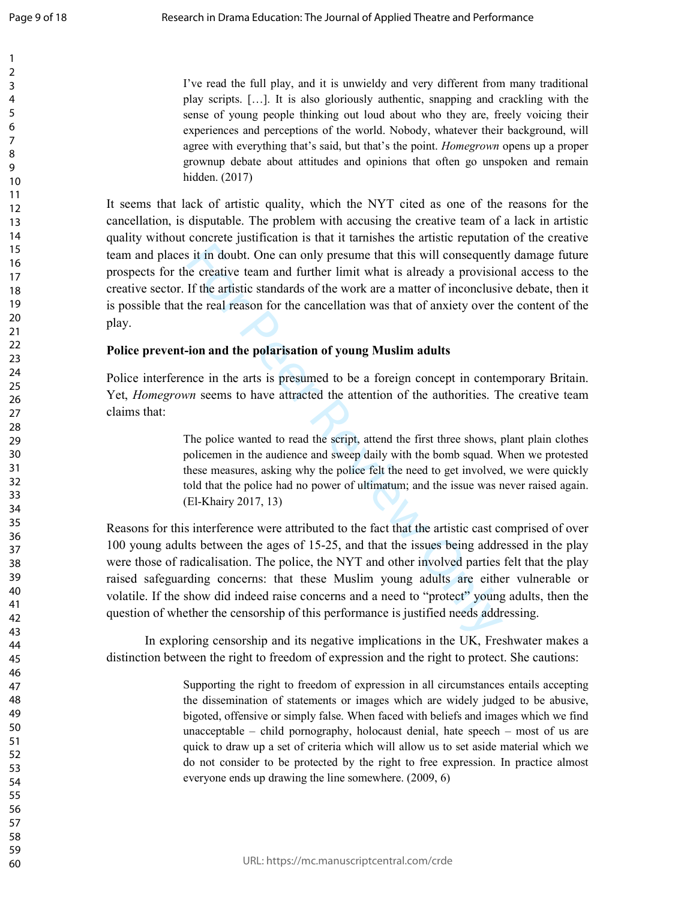I've read the full play, and it is unwieldy and very different from many traditional play scripts. […]. It is also gloriously authentic, snapping and crackling with the sense of young people thinking out loud about who they are, freely voicing their experiences and perceptions of the world. Nobody, whatever their background, will agree with everything that's said, but that's the point. *Homegrown* opens up a proper grownup debate about attitudes and opinions that often go unspoken and remain hidden. (2017)

It seems that lack of artistic quality, which the NYT cited as one of the reasons for the cancellation, is disputable. The problem with accusing the creative team of a lack in artistic quality without concrete justification is that it tarnishes the artistic reputation of the creative team and places it in doubt. One can only presume that this will consequently damage future prospects for the creative team and further limit what is already a provisional access to the creative sector. If the artistic standards of the work are a matter of inconclusive debate, then it is possible that the real reason for the cancellation was that of anxiety over the content of the play.

## **Police prevent-ion and the polarisation of young Muslim adults**

Police interference in the arts is presumed to be a foreign concept in contemporary Britain. Yet, *Homegrown* seems to have attracted the attention of the authorities. The creative team claims that:

> The police wanted to read the script, attend the first three shows, plant plain clothes policemen in the audience and sweep daily with the bomb squad. When we protested these measures, asking why the police felt the need to get involved, we were quickly told that the police had no power of ultimatum; and the issue was never raised again. (El-Khairy 2017, 13)

is it in doubt. One can only presume that this will consequent<br>le creative team and further limit what is already a provision<br>If the artistic standards of the work are a matter of inconclusis<br>the real reason for the cancel Reasons for this interference were attributed to the fact that the artistic cast comprised of over 100 young adults between the ages of 15-25, and that the issues being addressed in the play were those of radicalisation. The police, the NYT and other involved parties felt that the play raised safeguarding concerns: that these Muslim young adults are either vulnerable or volatile. If the show did indeed raise concerns and a need to "protect" young adults, then the question of whether the censorship of this performance is justified needs addressing.

In exploring censorship and its negative implications in the UK, Freshwater makes a distinction between the right to freedom of expression and the right to protect. She cautions:

> Supporting the right to freedom of expression in all circumstances entails accepting the dissemination of statements or images which are widely judged to be abusive, bigoted, offensive or simply false. When faced with beliefs and images which we find unacceptable – child pornography, holocaust denial, hate speech – most of us are quick to draw up a set of criteria which will allow us to set aside material which we do not consider to be protected by the right to free expression. In practice almost everyone ends up drawing the line somewhere. (2009, 6)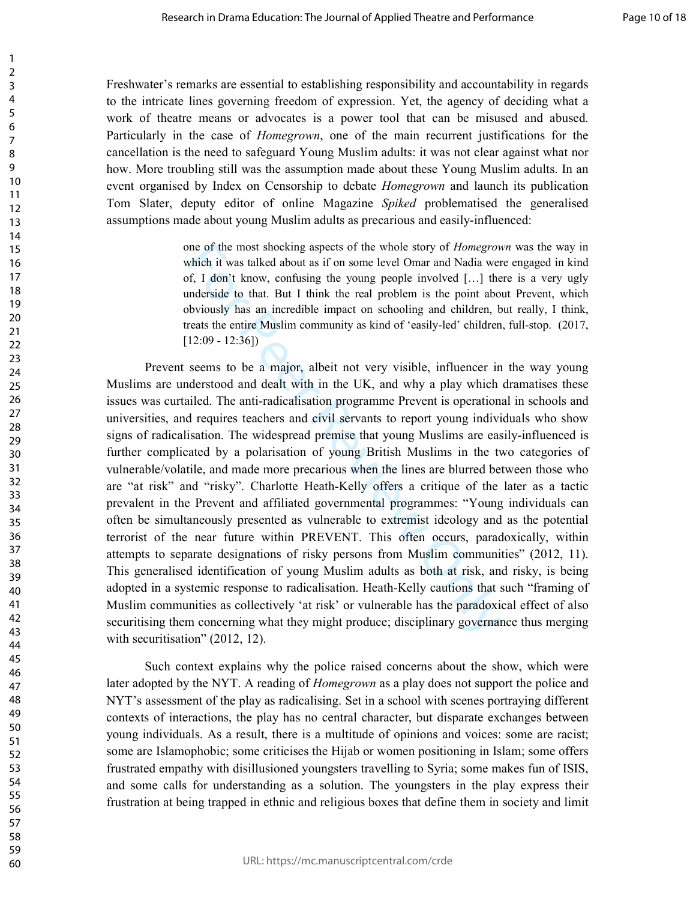Freshwater's remarks are essential to establishing responsibility and accountability in regards to the intricate lines governing freedom of expression. Yet, the agency of deciding what a work of theatre means or advocates is a power tool that can be misused and abused. Particularly in the case of *Homegrown*, one of the main recurrent justifications for the cancellation is the need to safeguard Young Muslim adults: it was not clear against what nor how. More troubling still was the assumption made about these Young Muslim adults. In an event organised by Index on Censorship to debate *Homegrown* and launch its publication Tom Slater, deputy editor of online Magazine *Spiked* problematised the generalised assumptions made about young Muslim adults as precarious and easily-influenced:

> one of the most shocking aspects of the whole story of *Homegrown* was the way in which it was talked about as if on some level Omar and Nadia were engaged in kind of, I don't know, confusing the young people involved […] there is a very ugly underside to that. But I think the real problem is the point about Prevent, which obviously has an incredible impact on schooling and children, but really, I think, treats the entire Muslim community as kind of 'easily-led' children, full-stop. (2017,  $[12:09 - 12:36]$

one of the most shocking aspects of the whole story of *Homegrow*<br>which it was taked about as if on some level Omar and Nadia wer<br>f), I don't know, confusing the young people involved [...] the<br>inderside to that. But I th Prevent seems to be a major, albeit not very visible, influencer in the way young Muslims are understood and dealt with in the UK, and why a play which dramatises these issues was curtailed. The anti-radicalisation programme Prevent is operational in schools and universities, and requires teachers and civil servants to report young individuals who show signs of radicalisation. The widespread premise that young Muslims are easily-influenced is further complicated by a polarisation of young British Muslims in the two categories of vulnerable/volatile, and made more precarious when the lines are blurred between those who are "at risk" and "risky". Charlotte Heath-Kelly offers a critique of the later as a tactic prevalent in the Prevent and affiliated governmental programmes: "Young individuals can often be simultaneously presented as vulnerable to extremist ideology and as the potential terrorist of the near future within PREVENT. This often occurs, paradoxically, within attempts to separate designations of risky persons from Muslim communities" (2012, 11). This generalised identification of young Muslim adults as both at risk, and risky, is being adopted in a systemic response to radicalisation. Heath-Kelly cautions that such "framing of Muslim communities as collectively 'at risk' or vulnerable has the paradoxical effect of also securitising them concerning what they might produce; disciplinary governance thus merging with securitisation" (2012, 12).

Such context explains why the police raised concerns about the show, which were later adopted by the NYT. A reading of *Homegrown* as a play does not support the police and NYT's assessment of the play as radicalising. Set in a school with scenes portraying different contexts of interactions, the play has no central character, but disparate exchanges between young individuals. As a result, there is a multitude of opinions and voices: some are racist; some are Islamophobic; some criticises the Hijab or women positioning in Islam; some offers frustrated empathy with disillusioned youngsters travelling to Syria; some makes fun of ISIS, and some calls for understanding as a solution. The youngsters in the play express their frustration at being trapped in ethnic and religious boxes that define them in society and limit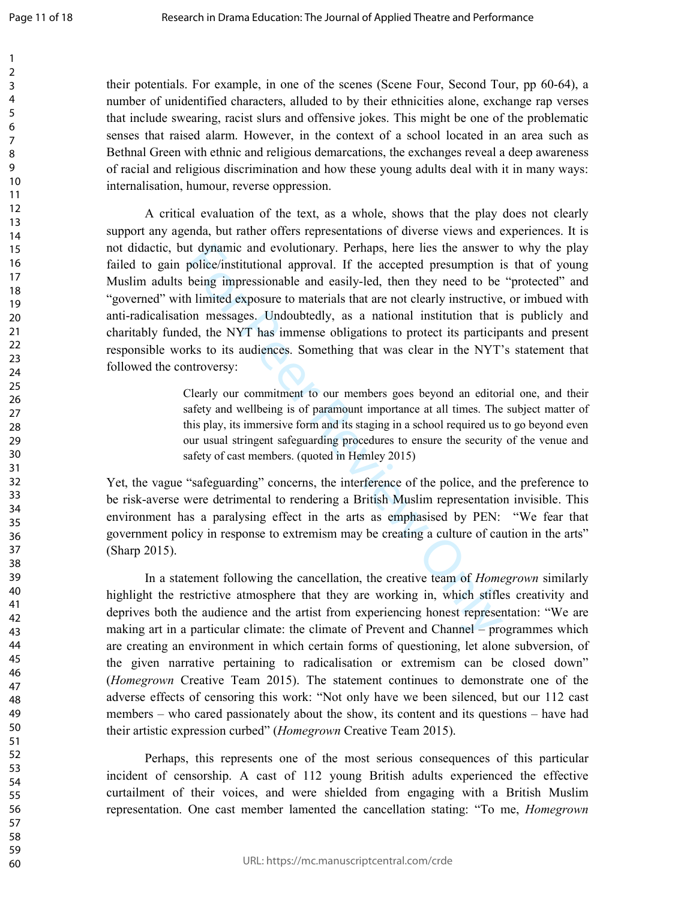Page 11 of 18

123456789

their potentials. For example, in one of the scenes (Scene Four, Second Tour, pp 60-64), a number of unidentified characters, alluded to by their ethnicities alone, exchange rap verses that include swearing, racist slurs and offensive jokes. This might be one of the problematic senses that raised alarm. However, in the context of a school located in an area such as Bethnal Green with ethnic and religious demarcations, the exchanges reveal a deep awareness of racial and religious discrimination and how these young adults deal with it in many ways: internalisation, humour, reverse oppression.

It dynamic and evolutionary. Perhaps, here lies the answer<br>police/institutional approval. If the accepted presumption i<br>being impressionable and easily-led, then they need to be<br>low limited exposure to materials that are n A critical evaluation of the text, as a whole, shows that the play does not clearly support any agenda, but rather offers representations of diverse views and experiences. It is not didactic, but dynamic and evolutionary. Perhaps, here lies the answer to why the play failed to gain police/institutional approval. If the accepted presumption is that of young Muslim adults being impressionable and easily-led, then they need to be "protected" and "governed" with limited exposure to materials that are not clearly instructive, or imbued with anti-radicalisation messages. Undoubtedly, as a national institution that is publicly and charitably funded, the NYT has immense obligations to protect its participants and present responsible works to its audiences. Something that was clear in the NYT's statement that followed the controversy:

Clearly our commitment to our members goes beyond an editorial one, and their safety and wellbeing is of paramount importance at all times. The subject matter of this play, its immersive form and its staging in a school required us to go beyond even our usual stringent safeguarding procedures to ensure the security of the venue and safety of cast members. (quoted in Hemley 2015)

Yet, the vague "safeguarding" concerns, the interference of the police, and the preference to be risk-averse were detrimental to rendering a British Muslim representation invisible. This environment has a paralysing effect in the arts as emphasised by PEN: "We fear that government policy in response to extremism may be creating a culture of caution in the arts" (Sharp 2015).

In a statement following the cancellation, the creative team of *Homegrown* similarly highlight the restrictive atmosphere that they are working in, which stifles creativity and deprives both the audience and the artist from experiencing honest representation: "We are making art in a particular climate: the climate of Prevent and Channel – programmes which are creating an environment in which certain forms of questioning, let alone subversion, of the given narrative pertaining to radicalisation or extremism can be closed down" (*Homegrown* Creative Team 2015). The statement continues to demonstrate one of the adverse effects of censoring this work: "Not only have we been silenced, but our 112 cast members – who cared passionately about the show, its content and its questions – have had their artistic expression curbed" (*Homegrown* Creative Team 2015).

Perhaps, this represents one of the most serious consequences of this particular incident of censorship. A cast of 112 young British adults experienced the effective curtailment of their voices, and were shielded from engaging with a British Muslim representation. One cast member lamented the cancellation stating: "To me, *Homegrown*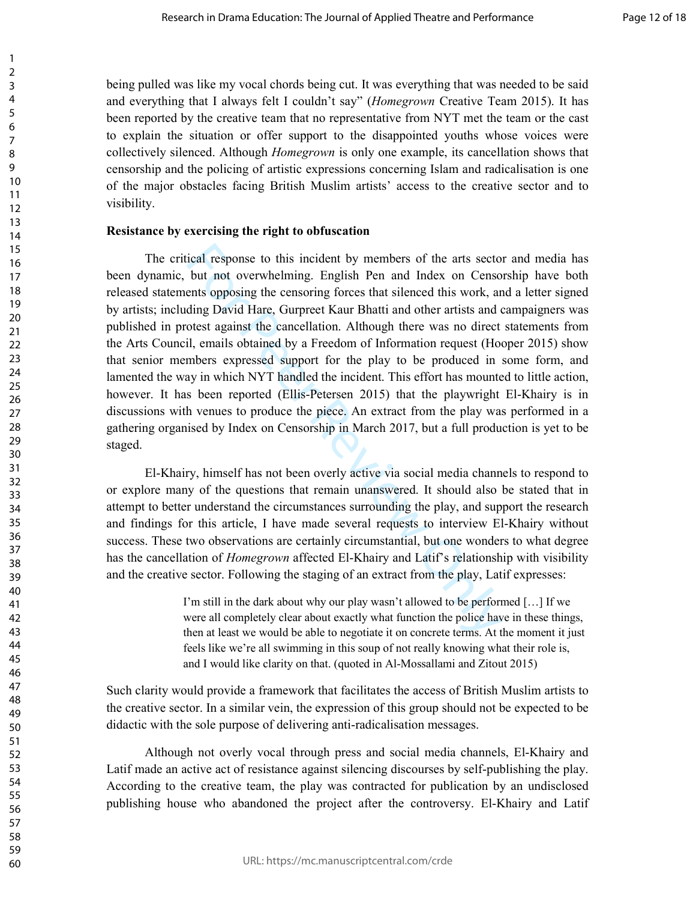being pulled was like my vocal chords being cut. It was everything that was needed to be said and everything that I always felt I couldn't say" (*Homegrown* Creative Team 2015). It has been reported by the creative team that no representative from NYT met the team or the cast to explain the situation or offer support to the disappointed youths whose voices were collectively silenced. Although *Homegrown* is only one example, its cancellation shows that censorship and the policing of artistic expressions concerning Islam and radicalisation is one of the major obstacles facing British Muslim artists' access to the creative sector and to visibility.

#### **Resistance by exercising the right to obfuscation**

ical response to this incident by members of the arts secto<br>but not overwhelming. English Pen and Index on Censo<br>ents opposing the censoring forces that silenced this work, an<br>ding David Hare, Gurpreet Kaur Bhatti and othe The critical response to this incident by members of the arts sector and media has been dynamic, but not overwhelming. English Pen and Index on Censorship have both released statements opposing the censoring forces that silenced this work, and a letter signed by artists; including David Hare, Gurpreet Kaur Bhatti and other artists and campaigners was published in protest against the cancellation. Although there was no direct statements from the Arts Council, emails obtained by a Freedom of Information request (Hooper 2015) show that senior members expressed support for the play to be produced in some form, and lamented the way in which NYT handled the incident. This effort has mounted to little action, however. It has been reported (Ellis-Petersen 2015) that the playwright El-Khairy is in discussions with venues to produce the piece. An extract from the play was performed in a gathering organised by Index on Censorship in March 2017, but a full production is yet to be staged.

El-Khairy, himself has not been overly active via social media channels to respond to or explore many of the questions that remain unanswered. It should also be stated that in attempt to better understand the circumstances surrounding the play, and support the research and findings for this article, I have made several requests to interview El-Khairy without success. These two observations are certainly circumstantial, but one wonders to what degree has the cancellation of *Homegrown* affected El-Khairy and Latif's relationship with visibility and the creative sector. Following the staging of an extract from the play, Latif expresses:

> I'm still in the dark about why our play wasn't allowed to be performed […] If we were all completely clear about exactly what function the police have in these things, then at least we would be able to negotiate it on concrete terms. At the moment it just feels like we're all swimming in this soup of not really knowing what their role is, and I would like clarity on that. (quoted in Al-Mossallami and Zitout 2015)

Such clarity would provide a framework that facilitates the access of British Muslim artists to the creative sector. In a similar vein, the expression of this group should not be expected to be didactic with the sole purpose of delivering anti-radicalisation messages.

Although not overly vocal through press and social media channels, El-Khairy and Latif made an active act of resistance against silencing discourses by self-publishing the play. According to the creative team, the play was contracted for publication by an undisclosed publishing house who abandoned the project after the controversy. El-Khairy and Latif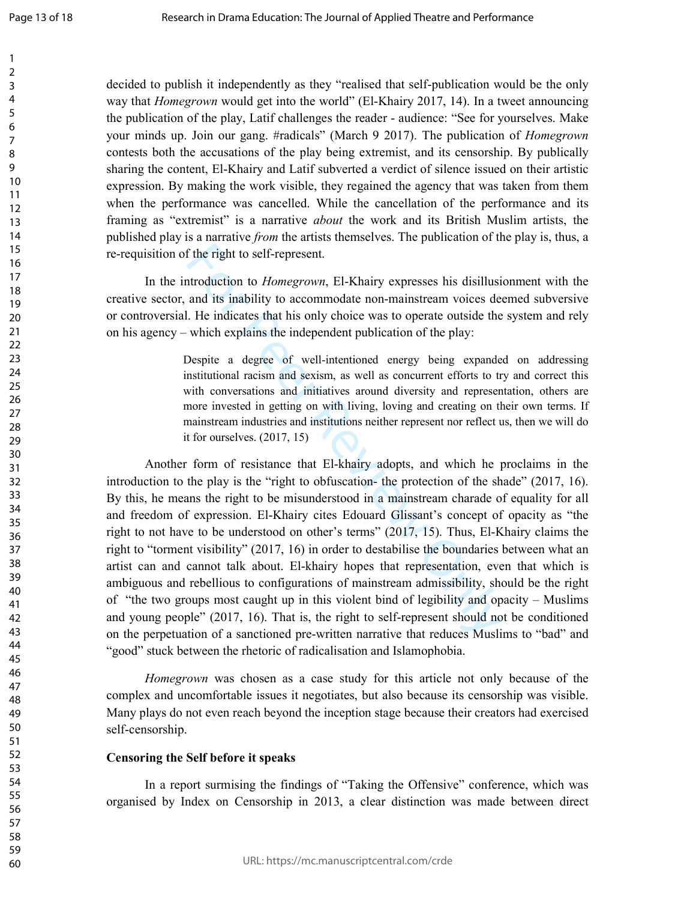decided to publish it independently as they "realised that self-publication would be the only way that *Homegrown* would get into the world" (El-Khairy 2017, 14). In a tweet announcing the publication of the play, Latif challenges the reader - audience: "See for yourselves. Make your minds up. Join our gang. #radicals" (March 9 2017). The publication of *Homegrown* contests both the accusations of the play being extremist, and its censorship. By publically sharing the content, El-Khairy and Latif subverted a verdict of silence issued on their artistic expression. By making the work visible, they regained the agency that was taken from them when the performance was cancelled. While the cancellation of the performance and its framing as "extremist" is a narrative *about* the work and its British Muslim artists, the published play is a narrative *from* the artists themselves. The publication of the play is, thus, a re-requisition of the right to self-represent.

In the introduction to *Homegrown*, El-Khairy expresses his disillusionment with the creative sector, and its inability to accommodate non-mainstream voices deemed subversive or controversial. He indicates that his only choice was to operate outside the system and rely on his agency – which explains the independent publication of the play:

> Despite a degree of well-intentioned energy being expanded on addressing institutional racism and sexism, as well as concurrent efforts to try and correct this with conversations and initiatives around diversity and representation, others are more invested in getting on with living, loving and creating on their own terms. If mainstream industries and institutions neither represent nor reflect us, then we will do it for ourselves. (2017, 15)

f the right to self-represent.<br>
attroduction to *Homegrown*, El-Khairy expresses his disillusi<br>
and its inability to accommodate non-mainstream voices de<br>
1. He indicates that his only choice was to operate outside the<br>
wh Another form of resistance that El-khairy adopts, and which he proclaims in the introduction to the play is the "right to obfuscation- the protection of the shade" (2017, 16). By this, he means the right to be misunderstood in a mainstream charade of equality for all and freedom of expression. El-Khairy cites Edouard Glissant's concept of opacity as "the right to not have to be understood on other's terms" (2017, 15). Thus, El-Khairy claims the right to "torment visibility" (2017, 16) in order to destabilise the boundaries between what an artist can and cannot talk about. El-khairy hopes that representation, even that which is ambiguous and rebellious to configurations of mainstream admissibility, should be the right of "the two groups most caught up in this violent bind of legibility and opacity – Muslims and young people" (2017, 16). That is, the right to self-represent should not be conditioned on the perpetuation of a sanctioned pre-written narrative that reduces Muslims to "bad" and "good" stuck between the rhetoric of radicalisation and Islamophobia.

*Homegrown* was chosen as a case study for this article not only because of the complex and uncomfortable issues it negotiates, but also because its censorship was visible. Many plays do not even reach beyond the inception stage because their creators had exercised self-censorship.

#### **Censoring the Self before it speaks**

In a report surmising the findings of "Taking the Offensive" conference, which was organised by Index on Censorship in 2013, a clear distinction was made between direct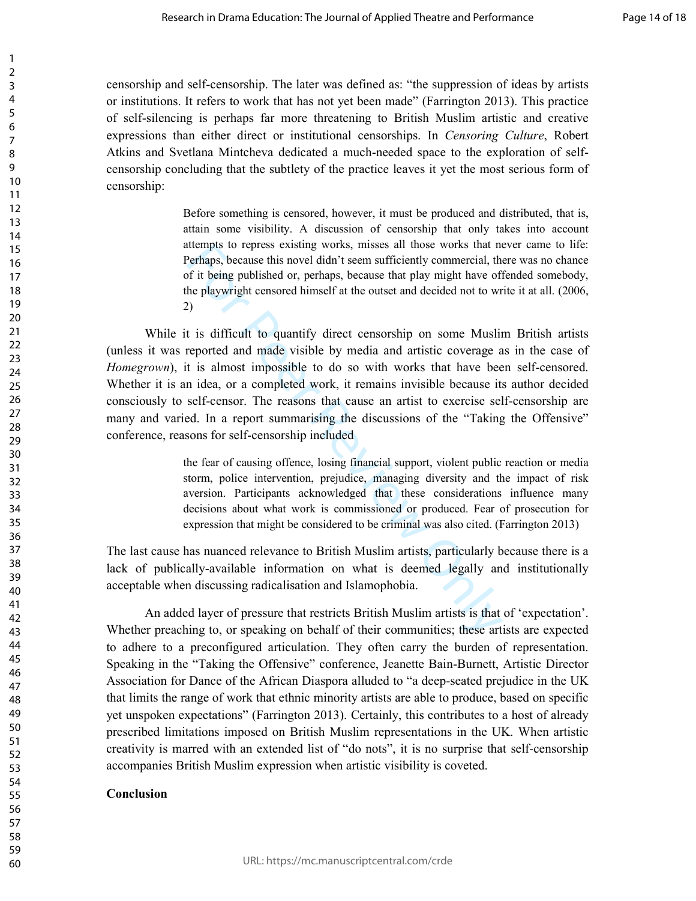censorship and self-censorship. The later was defined as: "the suppression of ideas by artists or institutions. It refers to work that has not yet been made" (Farrington 2013). This practice of self-silencing is perhaps far more threatening to British Muslim artistic and creative expressions than either direct or institutional censorships. In *Censoring Culture*, Robert Atkins and Svetlana Mintcheva dedicated a much-needed space to the exploration of selfcensorship concluding that the subtlety of the practice leaves it yet the most serious form of censorship:

> Before something is censored, however, it must be produced and distributed, that is, attain some visibility. A discussion of censorship that only takes into account attempts to repress existing works, misses all those works that never came to life: Perhaps, because this novel didn't seem sufficiently commercial, there was no chance of it being published or, perhaps, because that play might have offended somebody, the playwright censored himself at the outset and decided not to write it at all. (2006, 2)

thempts to repress existing works, misses an those works that not<br>berhaps, because this novel didn't seem sufficiently commercial, the<br>of it being published or, perhaps, because that play might have of<br>the playwright censo While it is difficult to quantify direct censorship on some Muslim British artists (unless it was reported and made visible by media and artistic coverage as in the case of *Homegrown*), it is almost impossible to do so with works that have been self-censored. Whether it is an idea, or a completed work, it remains invisible because its author decided consciously to self-censor. The reasons that cause an artist to exercise self-censorship are many and varied. In a report summarising the discussions of the "Taking the Offensive" conference, reasons for self-censorship included

the fear of causing offence, losing financial support, violent public reaction or media storm, police intervention, prejudice, managing diversity and the impact of risk aversion. Participants acknowledged that these considerations influence many decisions about what work is commissioned or produced. Fear of prosecution for expression that might be considered to be criminal was also cited. (Farrington 2013)

The last cause has nuanced relevance to British Muslim artists, particularly because there is a lack of publically-available information on what is deemed legally and institutionally acceptable when discussing radicalisation and Islamophobia.

An added layer of pressure that restricts British Muslim artists is that of 'expectation'. Whether preaching to, or speaking on behalf of their communities; these artists are expected to adhere to a preconfigured articulation. They often carry the burden of representation. Speaking in the "Taking the Offensive" conference, Jeanette Bain-Burnett, Artistic Director Association for Dance of the African Diaspora alluded to "a deep-seated prejudice in the UK that limits the range of work that ethnic minority artists are able to produce, based on specific yet unspoken expectations" (Farrington 2013). Certainly, this contributes to a host of already prescribed limitations imposed on British Muslim representations in the UK. When artistic creativity is marred with an extended list of "do nots", it is no surprise that self-censorship accompanies British Muslim expression when artistic visibility is coveted.

## **Conclusion**

123456789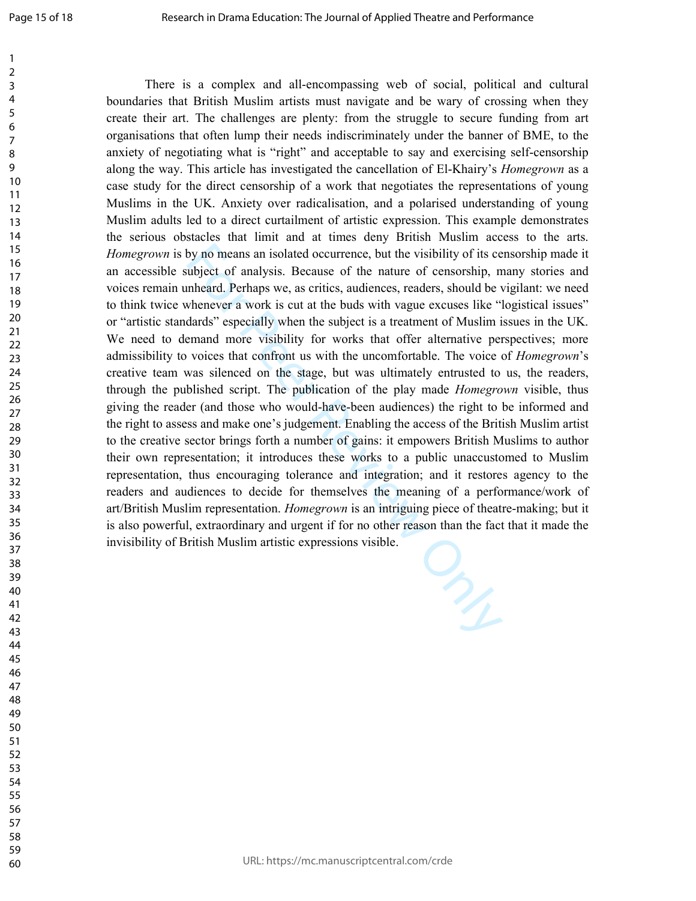by no means an isolated occurrence, but the visibility of its ce ubject of analysis. Because of the nature of censorship, meand. Perhaps we, as critics, audiences, readers, should be vhenever a work is cut at the buds with There is a complex and all-encompassing web of social, political and cultural boundaries that British Muslim artists must navigate and be wary of crossing when they create their art. The challenges are plenty: from the struggle to secure funding from art organisations that often lump their needs indiscriminately under the banner of BME, to the anxiety of negotiating what is "right" and acceptable to say and exercising self-censorship along the way. This article has investigated the cancellation of El-Khairy's *Homegrown* as a case study for the direct censorship of a work that negotiates the representations of young Muslims in the UK. Anxiety over radicalisation, and a polarised understanding of young Muslim adults led to a direct curtailment of artistic expression. This example demonstrates the serious obstacles that limit and at times deny British Muslim access to the arts. *Homegrown* is by no means an isolated occurrence, but the visibility of its censorship made it an accessible subject of analysis. Because of the nature of censorship, many stories and voices remain unheard. Perhaps we, as critics, audiences, readers, should be vigilant: we need to think twice whenever a work is cut at the buds with vague excuses like "logistical issues" or "artistic standards" especially when the subject is a treatment of Muslim issues in the UK. We need to demand more visibility for works that offer alternative perspectives; more admissibility to voices that confront us with the uncomfortable. The voice of *Homegrown*'s creative team was silenced on the stage, but was ultimately entrusted to us, the readers, through the published script. The publication of the play made *Homegrown* visible, thus giving the reader (and those who would-have-been audiences) the right to be informed and the right to assess and make one's judgement. Enabling the access of the British Muslim artist to the creative sector brings forth a number of gains: it empowers British Muslims to author their own representation; it introduces these works to a public unaccustomed to Muslim representation, thus encouraging tolerance and integration; and it restores agency to the readers and audiences to decide for themselves the meaning of a performance/work of art/British Muslim representation. *Homegrown* is an intriguing piece of theatre-making; but it is also powerful, extraordinary and urgent if for no other reason than the fact that it made the invisibility of British Muslim artistic expressions visible.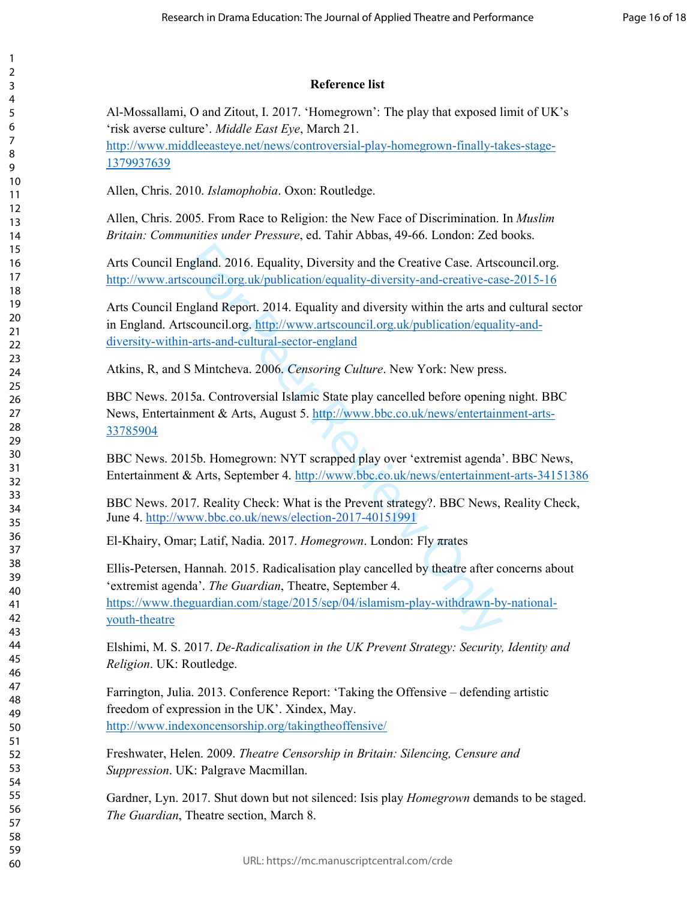# **Reference list**

Al-Mossallami, O and Zitout, I. 2017. 'Homegrown': The play that exposed limit of UK's 'risk averse culture'. *Middle East Eye*, March 21. http://www.middleeasteye.net/news/controversial-play-homegrown-finally-takes-stage-

Allen, Chris. 2010. *Islamophobia*. Oxon: Routledge.

Allen, Chris. 2005. From Race to Religion: the New Face of Discrimination. In *Muslim Britain: Communities under Pressure*, ed. Tahir Abbas, 49-66. London: Zed books.

Arts Council England. 2016. Equality, Diversity and the Creative Case. Artscouncil.org. http://www.artscouncil.org.uk/publication/equality-diversity-and-creative-case-2015-16

Arts Council England Report. 2014. Equality and diversity within the arts and cultural sector in England. Artscouncil.org. http://www.artscouncil.org.uk/publication/equality-anddiversity-within-arts-and-cultural-sector-england

Atkins, R, and S Mintcheva. 2006. *Censoring Culture*. New York: New press.

BBC News. 2015a. Controversial Islamic State play cancelled before opening night. BBC News, Entertainment & Arts, August 5. http://www.bbc.co.uk/news/entertainment-arts-

BBC News. 2015b. Homegrown: NYT scrapped play over 'extremist agenda'. BBC News, Entertainment & Arts, September 4. http://www.bbc.co.uk/news/entertainment-arts-34151386

BBC News. 2017. Reality Check: What is the Prevent strategy?. BBC News, Reality Check, June 4. http://www.bbc.co.uk/news/election-2017-40151991

El-Khairy, Omar; Latif, Nadia. 2017. *Homegrown*. London: Fly πrates

ngland. 2016. Equality, Diversity and the Creative Case. Artscouncil.org.uk/publication/equality-diversity-and-creative-case<br>gland Report. 2014. Equality and diversity within the arts and<br>scouncil.org. http://www.artscounc Ellis-Petersen, Hannah. 2015. Radicalisation play cancelled by theatre after concerns about 'extremist agenda'. *The Guardian*, Theatre, September 4. https://www.theguardian.com/stage/2015/sep/04/islamism-play-withdrawn-by-nationalyouth-theatre

Elshimi, M. S. 2017. *De-Radicalisation in the UK Prevent Strategy: Security, Identity and Religion*. UK: Routledge.

Farrington, Julia. 2013. Conference Report: 'Taking the Offensive – defending artistic freedom of expression in the UK'. Xindex, May. http://www.indexoncensorship.org/takingtheoffensive/

Freshwater, Helen. 2009. *Theatre Censorship in Britain: Silencing, Censure and Suppression*. UK: Palgrave Macmillan.

Gardner, Lyn. 2017. Shut down but not silenced: Isis play *Homegrown* demands to be staged. *The Guardian*, Theatre section, March 8.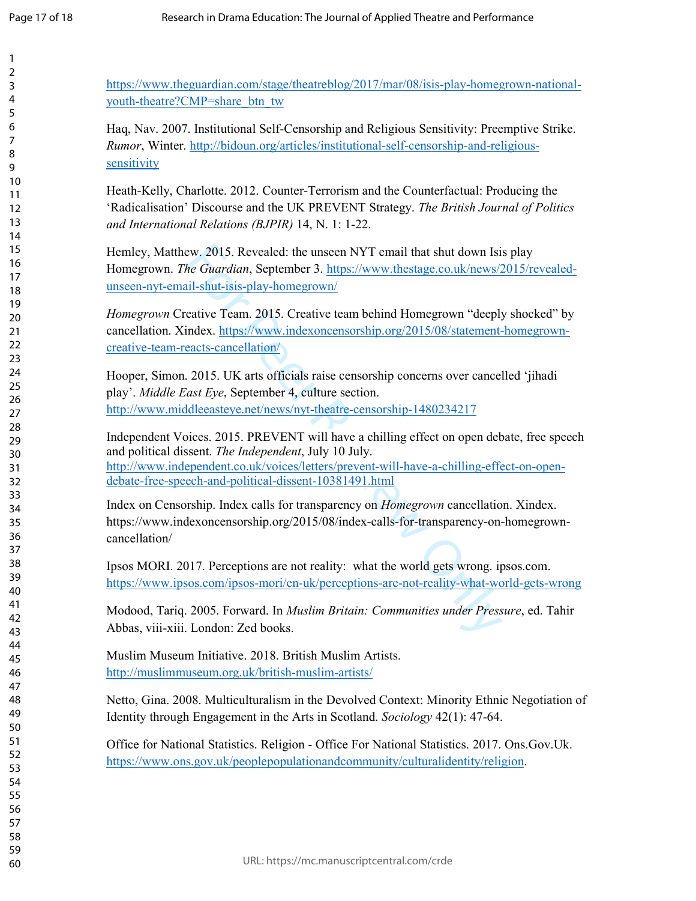| 1<br>$\overline{\mathbf{c}}$<br>3456<br>7<br>8<br>9<br>10<br>11<br>$\overline{12}$<br>$\overline{1}3$<br>$\overline{14}$<br>15<br>16<br>17<br>18<br>19<br>20<br>$\overline{21}$ |  |
|---------------------------------------------------------------------------------------------------------------------------------------------------------------------------------|--|
| 22<br>23<br>24<br>25<br>26<br>27<br>28<br>29<br>30<br>31<br>32<br>33<br>34<br>35<br>36<br>37<br>38<br>39<br>40<br>41<br>42                                                      |  |
| 43<br>44<br>45<br>46<br>47<br>48<br>49<br>50<br>51<br>52<br>53<br>54<br>55<br>56<br>57<br>58<br>59                                                                              |  |

https://www.theguardian.com/stage/theatreblog/2017/mar/08/isis-play-homegrown-nationalyouth-theatre?CMP=share\_btn\_tw

Haq, Nav. 2007. Institutional Self-Censorship and Religious Sensitivity: Preemptive Strike. *Rumor*, Winter. http://bidoun.org/articles/institutional-self-censorship-and-religioussensitivity

Heath-Kelly, Charlotte. 2012. Counter-Terrorism and the Counterfactual: Producing the 'Radicalisation' Discourse and the UK PREVENT Strategy. *The British Journal of Politics and International Relations (BJPIR)* 14, N. 1: 1-22.

Hemley, Matthew. 2015. Revealed: the unseen NYT email that shut down Isis play Homegrown. *The Guardian*, September 3. https://www.thestage.co.uk/news/2015/revealedunseen-nyt-email-shut-isis-play-homegrown/

*Homegrown* Creative Team. 2015. Creative team behind Homegrown "deeply shocked" by cancellation. Xindex. https://www.indexoncensorship.org/2015/08/statement-homegrowncreative-team-reacts-cancellation/

Hooper, Simon. 2015. UK arts officials raise censorship concerns over cancelled 'jihadi play'. *Middle East Eye*, September 4, culture section. http://www.middleeasteye.net/news/nyt-theatre-censorship-1480234217

ew. 2015. Revealed: the unseen NYT email that shut down Isis<br>the Guardian, September 3. https://www.thestage.co.uk/news/2<br>il-shut-isis-play-homegrown/<br>eative Team. 2015. Creative team behind Homegrown "deeply<br>index. https: Independent Voices. 2015. PREVENT will have a chilling effect on open debate, free speech and political dissent. *The Independent*, July 10 July. http://www.independent.co.uk/voices/letters/prevent-will-have-a-chilling-effect-on-opendebate-free-speech-and-political-dissent-10381491.html

Index on Censorship. Index calls for transparency on *Homegrown* cancellation. Xindex. https://www.indexoncensorship.org/2015/08/index-calls-for-transparency-on-homegrowncancellation/

Ipsos MORI. 2017. Perceptions are not reality: what the world gets wrong. ipsos.com. https://www.ipsos.com/ipsos-mori/en-uk/perceptions-are-not-reality-what-world-gets-wrong

Modood, Tariq. 2005. Forward. In *Muslim Britain: Communities under Pressure*, ed. Tahir Abbas, viii-xiii. London: Zed books.

Muslim Museum Initiative. 2018. British Muslim Artists. http://muslimmuseum.org.uk/british-muslim-artists/

Netto, Gina. 2008. Multiculturalism in the Devolved Context: Minority Ethnic Negotiation of Identity through Engagement in the Arts in Scotland. *Sociology* 42(1): 47-64.

Office for National Statistics. Religion - Office For National Statistics. 2017. Ons.Gov.Uk. https://www.ons.gov.uk/peoplepopulationandcommunity/culturalidentity/religion.